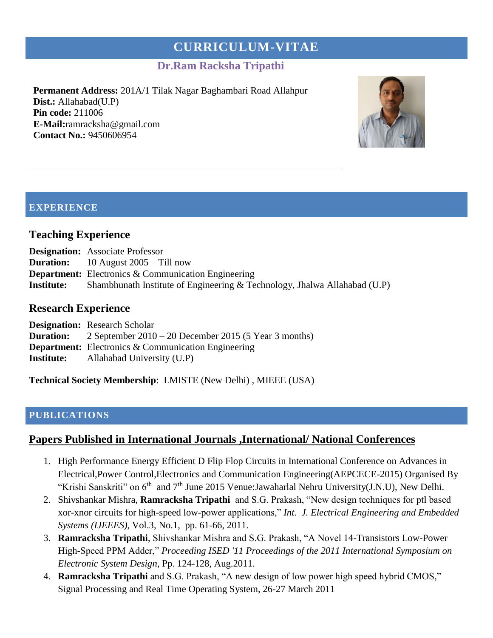# **CURRICULUM-VITAE**

# **Dr.Ram Racksha Tripathi**

**Permanent Address:** 201A/1 Tilak Nagar Baghambari Road Allahpur **Dist.:** Allahabad(U.P) **Pin code:** 211006 **E-Mail:**ramracksha@gmail.com **Contact No.:** 9450606954



## **EXPERIENCE**

#### **Teaching Experience**

- **Duration:** 10 August 2005 Till now
- **Department:** Electronics & Communication Engineering
- **Institute:** Shambhunath Institute of Engineering & Technology, Jhalwa Allahabad (U.P)

#### **Research Experience**

| <b>Designation:</b> Research Scholar                                     |
|--------------------------------------------------------------------------|
| <b>Duration:</b> 2 September $2010 - 20$ December 2015 (5 Year 3 months) |
| <b>Department:</b> Electronics & Communication Engineering               |
| Allahabad University (U.P)                                               |
|                                                                          |

**Technical Society Membership**: LMISTE (New Delhi) , MIEEE (USA)

#### **PUBLICATIONS**

#### **Papers Published in International Journals ,International/ National Conferences**

- 1. High Performance Energy Efficient D Flip Flop Circuits in International Conference on Advances in Electrical,Power Control,Electronics and Communication Engineering(AEPCECE-2015) Organised By "Krishi Sanskriti" on 6<sup>th</sup> and 7<sup>th</sup> June 2015 Venue: Jawaharlal Nehru University(J.N.U), New Delhi.
- 2. Shivshankar Mishra, **Ramracksha Tripathi** and S.G. Prakash, "New design techniques for ptl based xor-xnor circuits for high-speed low-power applications," *Int. J. Electrical Engineering and Embedded Systems (IJEEES),* Vol.3, No.1, pp. 61-66, 2011.
- 3. **Ramracksha Tripathi**, Shivshankar Mishra and S.G. Prakash, "A Novel 14-Transistors Low-Power High-Speed PPM Adder," *Proceeding ISED '11 Proceedings of the 2011 International Symposium on Electronic System Design*, Pp. 124-128, Aug.2011.
- 4. **Ramracksha Tripathi** and S.G. Prakash, "A new design of low power high speed hybrid CMOS," Signal Processing and Real Time Operating System, 26-27 March 2011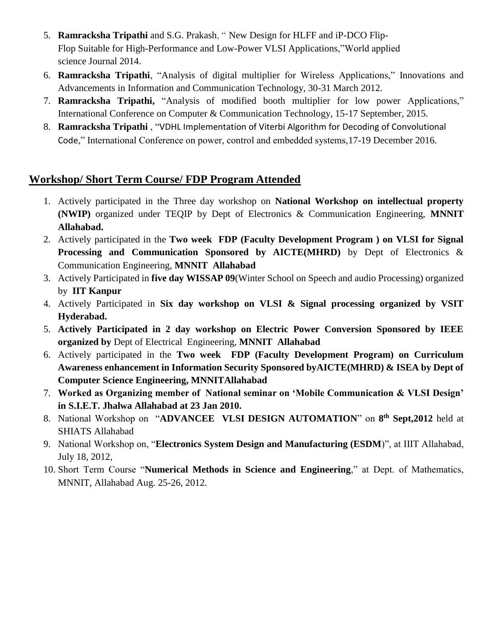- 5. **Ramracksha Tripathi** and S.G. Prakash, " [New Design for HLFF and iP-DCO Flip-](https://pdfs.semanticscholar.org/5e08/2d81d20e571cf66f1a5f81da59c389282914.pdf)[Flop Suitable for High-Performance and Low-Power VLSI Applications,](https://pdfs.semanticscholar.org/5e08/2d81d20e571cf66f1a5f81da59c389282914.pdf)"World applied science Journal 2014.
- 6. **Ramracksha Tripathi**, "Analysis of digital multiplier for Wireless Applications," Innovations and Advancements in Information and Communication Technology, 30-31 March 2012.
- 7. **Ramracksha Tripathi,** "Analysis of modified booth multiplier for low power Applications," International Conference on Computer & Communication Technology, 15-17 September, 2015.
- 8. **Ramracksha Tripathi** , "VDHL Implementation of Viterbi Algorithm for Decoding of Convolutional Code," International Conference on power, control and embedded systems,17-19 December 2016.

# **Workshop/ Short Term Course/ FDP Program Attended**

- 1. Actively participated in the Three day workshop on **National Workshop on intellectual property (NWIP)** organized under TEQIP by Dept of Electronics & Communication Engineering, **MNNIT Allahabad.**
- 2. Actively participated in the **Two week FDP (Faculty Development Program ) on VLSI for Signal Processing and Communication Sponsored by AICTE(MHRD)** by Dept of Electronics & Communication Engineering, **MNNIT Allahabad**
- 3. Actively Participated in **five day WISSAP 09**(Winter School on Speech and audio Processing) organized by **IIT Kanpur**
- 4. Actively Participated in **Six day workshop on VLSI & Signal processing organized by VSIT Hyderabad.**
- 5. **Actively Participated in 2 day workshop on Electric Power Conversion Sponsored by IEEE organized by** Dept of Electrical Engineering, **MNNIT Allahabad**
- 6. Actively participated in the **Two week FDP (Faculty Development Program) on Curriculum Awareness enhancement in Information Security Sponsored byAICTE(MHRD) & ISEA by Dept of Computer Science Engineering, MNNITAllahabad**
- 7. **Worked as Organizing member of National seminar on 'Mobile Communication & VLSI Design' in S.I.E.T. Jhalwa Allahabad at 23 Jan 2010.**
- 8. National Workshop on "**ADVANCEE VLSI DESIGN AUTOMATION**" on **8 th Sept,2012** held at SHIATS Allahabad
- 9. National Workshop on, "**Electronics System Design and Manufacturing (ESDM**)", at IIIT Allahabad, July 18, 2012,
- 10. Short Term Course "**Numerical Methods in Science and Engineering**," at Dept. of Mathematics, MNNIT, Allahabad Aug. 25-26, 2012.